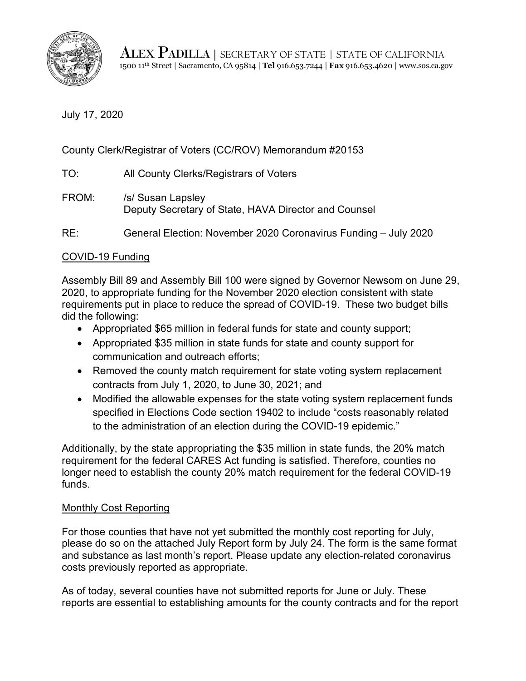

ALEX PADILLA | SECRETARY OF STATE | STATE OF CALIFORNIA 1500 11th Street | Sacramento, CA 95814 | **Tel** 916.653.7244 | **Fax** 916.653.4620 | <www.sos.ca.gov>

July 17, 2020

County Clerk/Registrar of Voters (CC/ROV) Memorandum #20153

TO: All County Clerks/Registrars of Voters

FROM: /s/ Susan Lapsley Deputy Secretary of State, HAVA Director and Counsel

RE: General Election: November 2020 Coronavirus Funding – July 2020

## COVID-19 Funding

 requirements put in place to reduce the spread of COVID-19. These two budget bills Assembly Bill 89 and Assembly Bill 100 were signed by Governor Newsom on June 29, 2020, to appropriate funding for the November 2020 election consistent with state did the following:

- Appropriated \$65 million in federal funds for state and county support;
- Appropriated \$35 million in state funds for state and county support for communication and outreach efforts;
- Removed the county match requirement for state voting system replacement contracts from July 1, 2020, to June 30, 2021; and
- specified in Elections Code section 19402 to include "costs reasonably related to the administration of an election during the COVID-19 epidemic." • Modified the allowable expenses for the state voting system replacement funds

Additionally, by the state appropriating the \$35 million in state funds, the 20% match requirement for the federal CARES Act funding is satisfied. Therefore, counties no longer need to establish the county 20% match requirement for the federal COVID-19 funds.

## Monthly Cost Reporting

For those counties that have not yet submitted the monthly cost reporting for July, please do so on the attached July Report form by July 24. The form is the same format and substance as last month's report. Please update any election-related coronavirus costs previously reported as appropriate.

As of today, several counties have not submitted reports for June or July. These reports are essential to establishing amounts for the county contracts and for the report